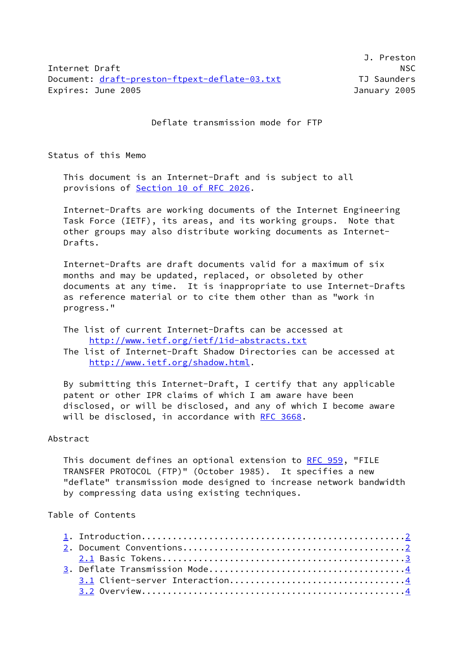Internet Draft NSC Document: [draft-preston-ftpext-deflate-03.txt](https://datatracker.ietf.org/doc/pdf/draft-preston-ftpext-deflate-03.txt) TJ Saunders Expires: June 2005 January 2005

J. Preston

Deflate transmission mode for FTP

Status of this Memo

 This document is an Internet-Draft and is subject to all provisions of Section [10 of RFC 2026](https://datatracker.ietf.org/doc/pdf/rfc2026#section-10).

 Internet-Drafts are working documents of the Internet Engineering Task Force (IETF), its areas, and its working groups. Note that other groups may also distribute working documents as Internet- Drafts.

 Internet-Drafts are draft documents valid for a maximum of six months and may be updated, replaced, or obsoleted by other documents at any time. It is inappropriate to use Internet-Drafts as reference material or to cite them other than as "work in progress."

 The list of current Internet-Drafts can be accessed at <http://www.ietf.org/ietf/1id-abstracts.txt>

 The list of Internet-Draft Shadow Directories can be accessed at <http://www.ietf.org/shadow.html>.

 By submitting this Internet-Draft, I certify that any applicable patent or other IPR claims of which I am aware have been disclosed, or will be disclosed, and any of which I become aware will be disclosed, in accordance with [RFC 3668](https://datatracker.ietf.org/doc/pdf/rfc3668).

### Abstract

This document defines an optional extension to [RFC 959](https://datatracker.ietf.org/doc/pdf/rfc959), "FILE TRANSFER PROTOCOL (FTP)" (October 1985). It specifies a new "deflate" transmission mode designed to increase network bandwidth by compressing data using existing techniques.

# Table of Contents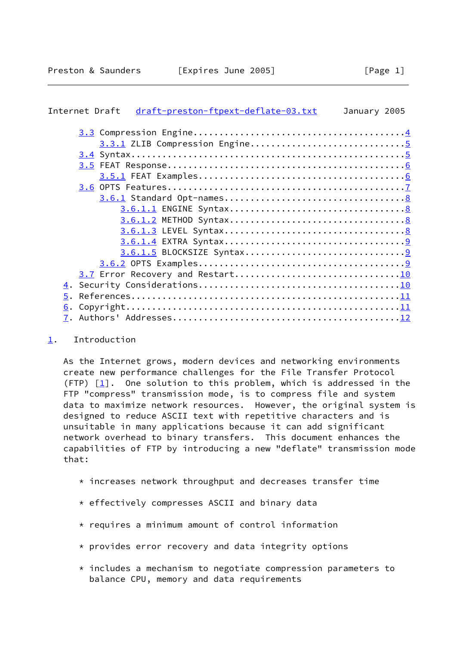# <span id="page-1-1"></span>Internet Draft [draft-preston-ftpext-deflate-03.txt](https://datatracker.ietf.org/doc/pdf/draft-preston-ftpext-deflate-03.txt) January 2005

| 3.3.1 ZLIB Compression Engine5 |  |
|--------------------------------|--|
|                                |  |
|                                |  |
|                                |  |
|                                |  |
|                                |  |
|                                |  |
|                                |  |
|                                |  |
|                                |  |
|                                |  |
|                                |  |
|                                |  |
|                                |  |
|                                |  |
|                                |  |
|                                |  |
|                                |  |

# <span id="page-1-0"></span>[1](#page-1-0). Introduction

 As the Internet grows, modern devices and networking environments create new performance challenges for the File Transfer Protocol (FTP)  $[1]$  $[1]$ . One solution to this problem, which is addressed in the FTP "compress" transmission mode, is to compress file and system data to maximize network resources. However, the original system is designed to reduce ASCII text with repetitive characters and is unsuitable in many applications because it can add significant network overhead to binary transfers. This document enhances the capabilities of FTP by introducing a new "deflate" transmission mode that:

- \* increases network throughput and decreases transfer time
- \* effectively compresses ASCII and binary data
- $*$  requires a minimum amount of control information
- \* provides error recovery and data integrity options
- $*$  includes a mechanism to negotiate compression parameters to balance CPU, memory and data requirements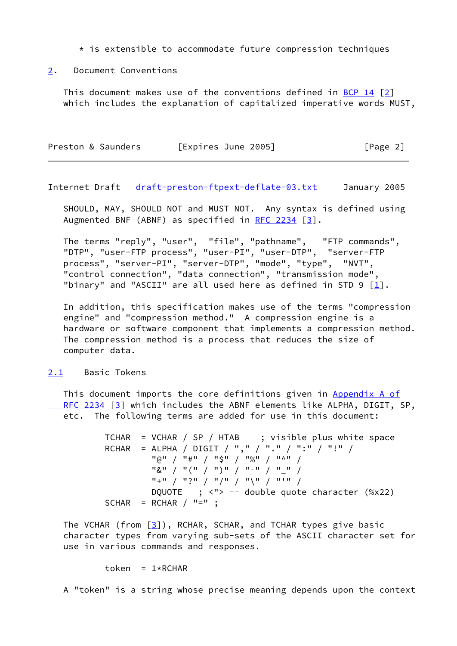$*$  is extensible to accommodate future compression techniques

#### <span id="page-2-0"></span>[2](#page-2-0). Document Conventions

 This document makes use of the conventions defined in [BCP 14](https://datatracker.ietf.org/doc/pdf/bcp14) [\[2\]](#page-11-4) which includes the explanation of capitalized imperative words MUST,

| Preston & Saunders | [Expires June 2005] | [Page 2] |
|--------------------|---------------------|----------|
|                    |                     |          |

<span id="page-2-2"></span>Internet Draft [draft-preston-ftpext-deflate-03.txt](https://datatracker.ietf.org/doc/pdf/draft-preston-ftpext-deflate-03.txt) January 2005

 SHOULD, MAY, SHOULD NOT and MUST NOT. Any syntax is defined using Augmented BNF (ABNF) as specified in [RFC 2234](https://datatracker.ietf.org/doc/pdf/rfc2234) [[3\]](#page-11-5).

 The terms "reply", "user", "file", "pathname", "FTP commands", "DTP", "user-FTP process", "user-PI", "user-DTP", "server-FTP process", "server-PI", "server-DTP", "mode", "type", "NVT", "control connection", "data connection", "transmission mode", "binary" and "ASCII" are all used here as defined in STD 9  $\lceil \frac{1}{2} \rceil$ .

 In addition, this specification makes use of the terms "compression engine" and "compression method." A compression engine is a hardware or software component that implements a compression method. The compression method is a process that reduces the size of computer data.

#### <span id="page-2-1"></span>[2.1](#page-2-1) Basic Tokens

 This document imports the core definitions given in [Appendix](https://datatracker.ietf.org/doc/pdf/rfc2234#appendix-A) A of RFC 2234 [\[3\]](#page-11-5) which includes the ABNF elements like ALPHA, DIGIT, SP, etc. The following terms are added for use in this document:

> TCHAR = VCHAR / SP / HTAB ; visible plus white space RCHAR = ALPHA / DIGIT / "," / "." / ":" / "!" / "@" / "#" / "\$" / "%" / "^" / "&" / "(" / ")" / "-" / "\_" / "+" / "?" / "/" / "\" / "'" / DQUOTE ; <"> -- double quote character (%x22)  $SCHAR = RCHAR / "="$ ;

The VCHAR (from  $\lceil 3 \rceil$ ), RCHAR, SCHAR, and TCHAR types give basic character types from varying sub-sets of the ASCII character set for use in various commands and responses.

token =  $1*RCHAR$ 

A "token" is a string whose precise meaning depends upon the context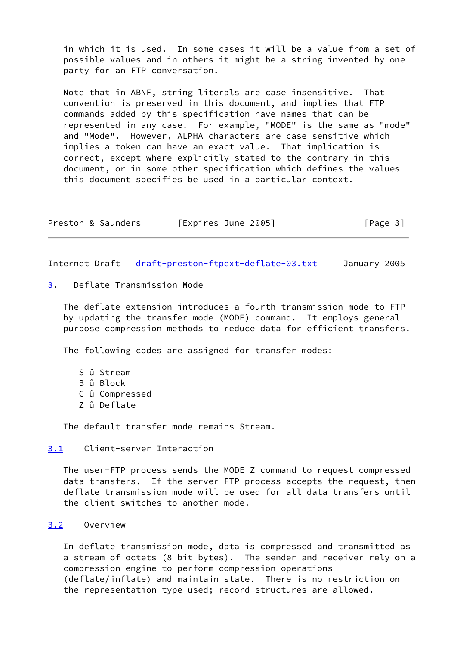in which it is used. In some cases it will be a value from a set of possible values and in others it might be a string invented by one party for an FTP conversation.

 Note that in ABNF, string literals are case insensitive. That convention is preserved in this document, and implies that FTP commands added by this specification have names that can be represented in any case. For example, "MODE" is the same as "mode" and "Mode". However, ALPHA characters are case sensitive which implies a token can have an exact value. That implication is correct, except where explicitly stated to the contrary in this document, or in some other specification which defines the values this document specifies be used in a particular context.

| Preston & Saunders | [Expires June 2005] | [Page 3] |
|--------------------|---------------------|----------|
|--------------------|---------------------|----------|

<span id="page-3-1"></span>Internet Draft [draft-preston-ftpext-deflate-03.txt](https://datatracker.ietf.org/doc/pdf/draft-preston-ftpext-deflate-03.txt) January 2005

<span id="page-3-0"></span>[3](#page-3-0). Deflate Transmission Mode

 The deflate extension introduces a fourth transmission mode to FTP by updating the transfer mode (MODE) command. It employs general purpose compression methods to reduce data for efficient transfers.

The following codes are assigned for transfer modes:

- S û Stream
- B û Block
- C û Compressed
- Z û Deflate

The default transfer mode remains Stream.

## <span id="page-3-2"></span>[3.1](#page-3-2) Client-server Interaction

 The user-FTP process sends the MODE Z command to request compressed data transfers. If the server-FTP process accepts the request, then deflate transmission mode will be used for all data transfers until the client switches to another mode.

#### <span id="page-3-3"></span>[3.2](#page-3-3) Overview

 In deflate transmission mode, data is compressed and transmitted as a stream of octets (8 bit bytes). The sender and receiver rely on a compression engine to perform compression operations (deflate/inflate) and maintain state. There is no restriction on the representation type used; record structures are allowed.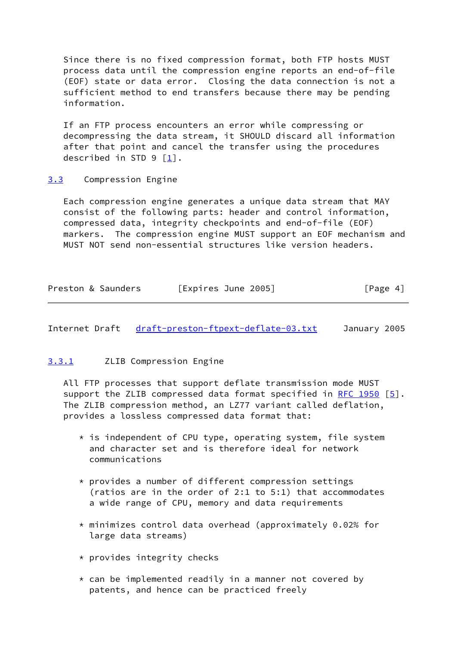Since there is no fixed compression format, both FTP hosts MUST process data until the compression engine reports an end-of-file (EOF) state or data error. Closing the data connection is not a sufficient method to end transfers because there may be pending information.

 If an FTP process encounters an error while compressing or decompressing the data stream, it SHOULD discard all information after that point and cancel the transfer using the procedures described in STD 9 [[1\]](#page-11-3).

## <span id="page-4-0"></span>[3.3](#page-4-0) Compression Engine

 Each compression engine generates a unique data stream that MAY consist of the following parts: header and control information, compressed data, integrity checkpoints and end-of-file (EOF) markers. The compression engine MUST support an EOF mechanism and MUST NOT send non-essential structures like version headers.

| Preston & Saunders | [Expires June 2005] | [Page 4] |
|--------------------|---------------------|----------|
|--------------------|---------------------|----------|

<span id="page-4-2"></span>Internet Draft [draft-preston-ftpext-deflate-03.txt](https://datatracker.ietf.org/doc/pdf/draft-preston-ftpext-deflate-03.txt) January 2005

# <span id="page-4-1"></span>[3.3.1](#page-4-1) ZLIB Compression Engine

 All FTP processes that support deflate transmission mode MUST support the ZLIB compressed data format specified in [RFC 1950](https://datatracker.ietf.org/doc/pdf/rfc1950)  $[5]$  $[5]$ . The ZLIB compression method, an LZ77 variant called deflation, provides a lossless compressed data format that:

- $*$  is independent of CPU type, operating system, file system and character set and is therefore ideal for network communications
- \* provides a number of different compression settings (ratios are in the order of 2:1 to 5:1) that accommodates a wide range of CPU, memory and data requirements
- $*$  minimizes control data overhead (approximately 0.02% for large data streams)
- \* provides integrity checks
- \* can be implemented readily in a manner not covered by patents, and hence can be practiced freely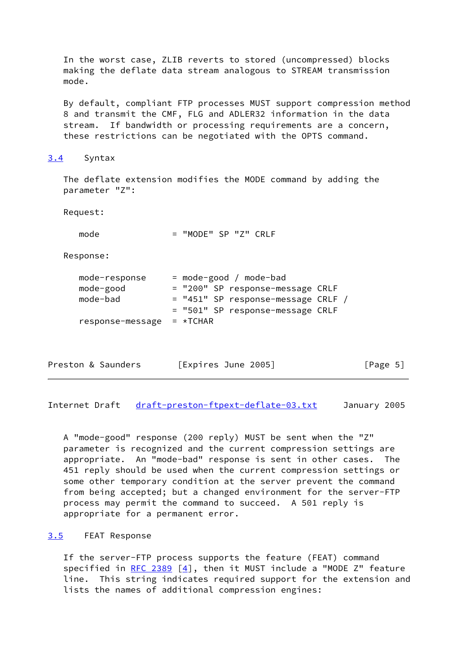In the worst case, ZLIB reverts to stored (uncompressed) blocks making the deflate data stream analogous to STREAM transmission mode.

 By default, compliant FTP processes MUST support compression method 8 and transmit the CMF, FLG and ADLER32 information in the data stream. If bandwidth or processing requirements are a concern, these restrictions can be negotiated with the OPTS command.

#### <span id="page-5-0"></span>[3.4](#page-5-0) Syntax

 The deflate extension modifies the MODE command by adding the parameter "Z":

Request:

mode = "MODE" SP "Z" CRLF

Response:

| mode-response    | $=$ mode-good / mode-bad           |  |
|------------------|------------------------------------|--|
| mode-good        | = "200" SP response-message CRLF   |  |
| mode-bad         | = "451" SP response-message CRLF / |  |
|                  | = "501" SP response-message CRLF   |  |
| response-message | $=$ *TCHAR                         |  |
|                  |                                    |  |

| [Expires June 2005]<br>Preston & Saunders | [Page 5] |
|-------------------------------------------|----------|
|-------------------------------------------|----------|

<span id="page-5-2"></span>Internet Draft [draft-preston-ftpext-deflate-03.txt](https://datatracker.ietf.org/doc/pdf/draft-preston-ftpext-deflate-03.txt) January 2005

 A "mode-good" response (200 reply) MUST be sent when the "Z" parameter is recognized and the current compression settings are appropriate. An "mode-bad" response is sent in other cases. The 451 reply should be used when the current compression settings or some other temporary condition at the server prevent the command from being accepted; but a changed environment for the server-FTP process may permit the command to succeed. A 501 reply is appropriate for a permanent error.

## <span id="page-5-1"></span>[3.5](#page-5-1) FEAT Response

 If the server-FTP process supports the feature (FEAT) command specified in RFC  $2389$  [[4\]](#page-11-7), then it MUST include a "MODE Z" feature line. This string indicates required support for the extension and lists the names of additional compression engines: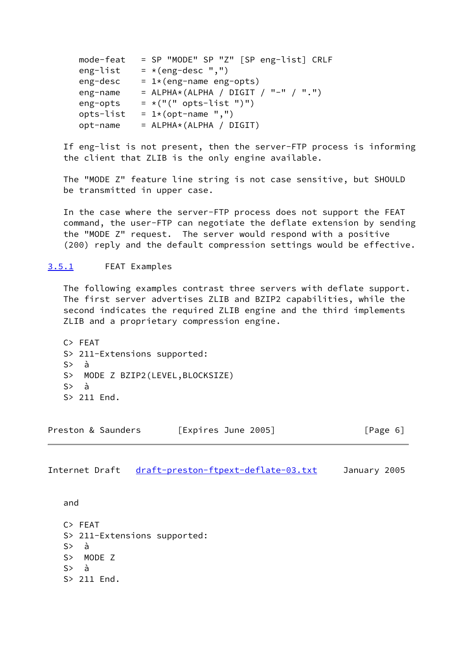| mode-feat | = SP "MODE" SP "Z" [SP eng-list] CRLF  |
|-----------|----------------------------------------|
| eng-list  | $=$ *(eng-desc ",")                    |
| eng-desc  | $= 1*(eng-name eng-opts)$              |
| eng-name  | = $ALPHA*(ALPHA / DIGIT / "-" / "."")$ |
| eng-opts  | $= *("(" opts-list ")")$               |
| opts-list | = $1*(opt-name ","')$                  |
| opt-name  | $=$ ALPHA*(ALPHA / DIGIT)              |

 If eng-list is not present, then the server-FTP process is informing the client that ZLIB is the only engine available.

 The "MODE Z" feature line string is not case sensitive, but SHOULD be transmitted in upper case.

 In the case where the server-FTP process does not support the FEAT command, the user-FTP can negotiate the deflate extension by sending the "MODE Z" request. The server would respond with a positive (200) reply and the default compression settings would be effective.

## <span id="page-6-0"></span>[3.5.1](#page-6-0) FEAT Examples

 The following examples contrast three servers with deflate support. The first server advertises ZLIB and BZIP2 capabilities, while the second indicates the required ZLIB engine and the third implements ZLIB and a proprietary compression engine.

 C> FEAT S> 211-Extensions supported: S> à S> MODE Z BZIP2(LEVEL,BLOCKSIZE) S> à S> 211 End.

| Preston & Saunders | [Expires June 2005] | [Page 6] |
|--------------------|---------------------|----------|
|--------------------|---------------------|----------|

<span id="page-6-1"></span>Internet Draft [draft-preston-ftpext-deflate-03.txt](https://datatracker.ietf.org/doc/pdf/draft-preston-ftpext-deflate-03.txt) January 2005

and

 C> FEAT S> 211-Extensions supported: S> à S> MODE Z S> à S> 211 End.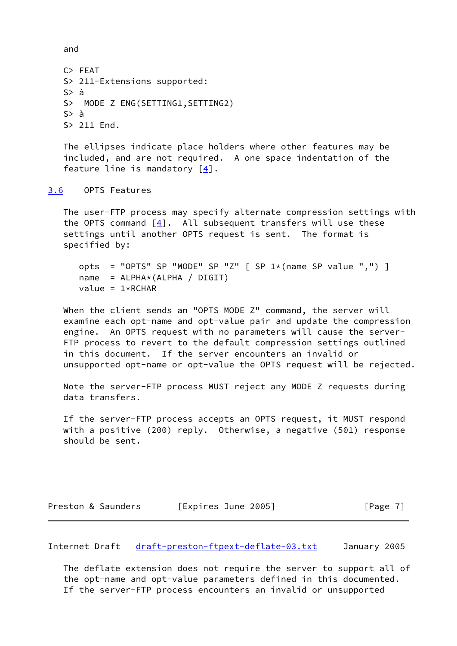and

```
 C> FEAT
 S> 211-Extensions supported:
 S> à
 S> MODE Z ENG(SETTING1,SETTING2)
 S> à
 S> 211 End.
```
 The ellipses indicate place holders where other features may be included, and are not required. A one space indentation of the feature line is mandatory  $[4]$  $[4]$ .

<span id="page-7-0"></span>[3.6](#page-7-0) OPTS Features

 The user-FTP process may specify alternate compression settings with the OPTS command  $\lceil 4 \rceil$ . All subsequent transfers will use these settings until another OPTS request is sent. The format is specified by:

```
opts = "OPTS" SP "MODE" SP "Z" [ SP 1*(name SP value ","") ]
 name = ALPHA*(ALPHA / DIGIT)
value = 1*RCHAR
```
 When the client sends an "OPTS MODE Z" command, the server will examine each opt-name and opt-value pair and update the compression engine. An OPTS request with no parameters will cause the server- FTP process to revert to the default compression settings outlined in this document. If the server encounters an invalid or unsupported opt-name or opt-value the OPTS request will be rejected.

 Note the server-FTP process MUST reject any MODE Z requests during data transfers.

 If the server-FTP process accepts an OPTS request, it MUST respond with a positive (200) reply. Otherwise, a negative (501) response should be sent.

| Preston & Saunders | [Expires June 2005] | [Page 7] |
|--------------------|---------------------|----------|
|                    |                     |          |

<span id="page-7-1"></span>Internet Draft [draft-preston-ftpext-deflate-03.txt](https://datatracker.ietf.org/doc/pdf/draft-preston-ftpext-deflate-03.txt) January 2005

 The deflate extension does not require the server to support all of the opt-name and opt-value parameters defined in this documented. If the server-FTP process encounters an invalid or unsupported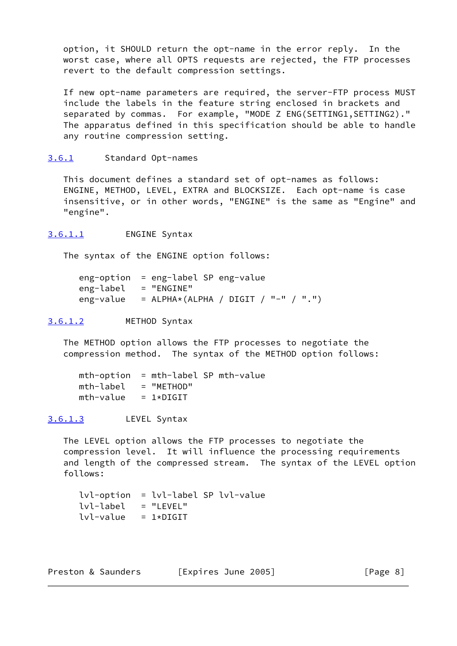option, it SHOULD return the opt-name in the error reply. In the worst case, where all OPTS requests are rejected, the FTP processes revert to the default compression settings.

 If new opt-name parameters are required, the server-FTP process MUST include the labels in the feature string enclosed in brackets and separated by commas. For example, "MODE Z ENG(SETTING1, SETTING2)." The apparatus defined in this specification should be able to handle any routine compression setting.

## <span id="page-8-0"></span>[3.6.1](#page-8-0) Standard Opt-names

 This document defines a standard set of opt-names as follows: ENGINE, METHOD, LEVEL, EXTRA and BLOCKSIZE. Each opt-name is case insensitive, or in other words, "ENGINE" is the same as "Engine" and "engine".

<span id="page-8-1"></span>[3.6.1.1](#page-8-1) ENGINE Syntax

The syntax of the ENGINE option follows:

 eng-option = eng-label SP eng-value eng-label = "ENGINE" eng-value = ALPHA\*(ALPHA / DIGIT / "-" / ".")

# <span id="page-8-2"></span>[3.6.1.2](#page-8-2) METHOD Syntax

 The METHOD option allows the FTP processes to negotiate the compression method. The syntax of the METHOD option follows:

 mth-option = mth-label SP mth-value  $mth$ -label = "METHOD"  $mth-value = 1 * DIGIT$ 

# <span id="page-8-3"></span>[3.6.1.3](#page-8-3) LEVEL Syntax

 The LEVEL option allows the FTP processes to negotiate the compression level. It will influence the processing requirements and length of the compressed stream. The syntax of the LEVEL option follows:

 lvl-option = lvl-label SP lvl-value  $lv1$ -label = "LEVEL"  $lv1$ -value =  $1 * DIGIT$ 

 $[Page 8]$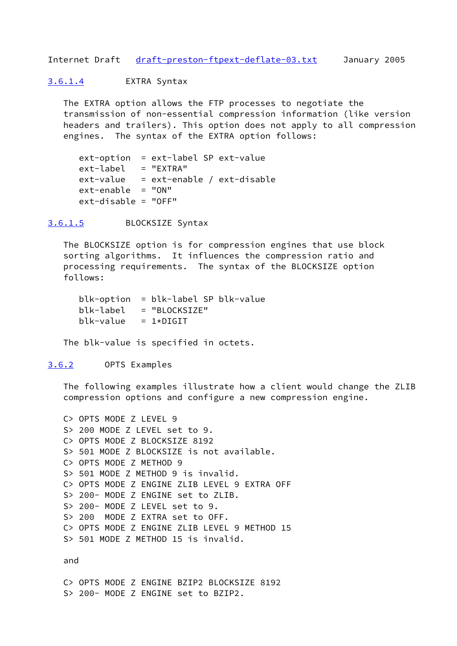<span id="page-9-1"></span>Internet Draft [draft-preston-ftpext-deflate-03.txt](https://datatracker.ietf.org/doc/pdf/draft-preston-ftpext-deflate-03.txt) January 2005

<span id="page-9-0"></span>[3.6.1.4](#page-9-0) EXTRA Syntax

 The EXTRA option allows the FTP processes to negotiate the transmission of non-essential compression information (like version headers and trailers). This option does not apply to all compression engines. The syntax of the EXTRA option follows:

 ext-option = ext-label SP ext-value ext-label = "EXTRA"  $ext-value$  =  $ext$ -enable / ext-disable ext-enable = "ON" ext-disable = "OFF"

<span id="page-9-2"></span>[3.6.1.5](#page-9-2) BLOCKSIZE Syntax

 The BLOCKSIZE option is for compression engines that use block sorting algorithms. It influences the compression ratio and processing requirements. The syntax of the BLOCKSIZE option follows:

 blk-option = blk-label SP blk-value blk-label = "BLOCKSIZE"  $b$ lk-value = 1\*DIGIT

The blk-value is specified in octets.

<span id="page-9-3"></span>[3.6.2](#page-9-3) OPTS Examples

 The following examples illustrate how a client would change the ZLIB compression options and configure a new compression engine.

```
 C> OPTS MODE Z LEVEL 9
 S> 200 MODE Z LEVEL set to 9.
 C> OPTS MODE Z BLOCKSIZE 8192
 S> 501 MODE Z BLOCKSIZE is not available.
 C> OPTS MODE Z METHOD 9
 S> 501 MODE Z METHOD 9 is invalid.
 C> OPTS MODE Z ENGINE ZLIB LEVEL 9 EXTRA OFF
 S> 200- MODE Z ENGINE set to ZLIB.
 S> 200- MODE Z LEVEL set to 9.
 S> 200 MODE Z EXTRA set to OFF.
 C> OPTS MODE Z ENGINE ZLIB LEVEL 9 METHOD 15
 S> 501 MODE Z METHOD 15 is invalid.
```
and

 C> OPTS MODE Z ENGINE BZIP2 BLOCKSIZE 8192 S> 200- MODE Z ENGINE set to BZIP2.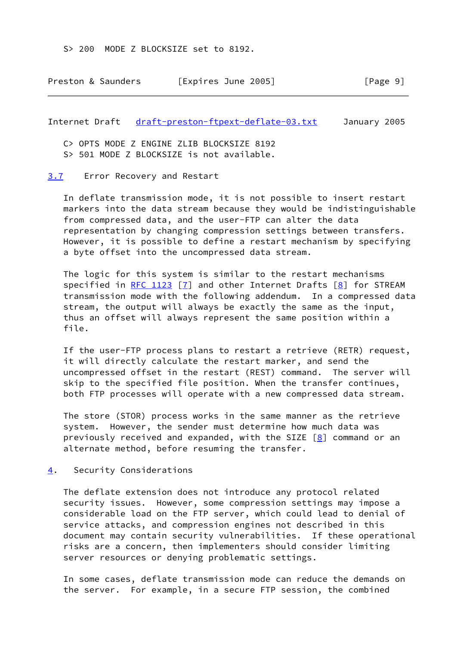S> 200 MODE Z BLOCKSIZE set to 8192.

| Preston & Saunders | [Expires June 2005] | [Page 9] |
|--------------------|---------------------|----------|
|--------------------|---------------------|----------|

<span id="page-10-1"></span>Internet Draft [draft-preston-ftpext-deflate-03.txt](https://datatracker.ietf.org/doc/pdf/draft-preston-ftpext-deflate-03.txt) January 2005

C> OPTS MODE Z ENGINE ZLIB BLOCKSIZE 8192

S> 501 MODE Z BLOCKSIZE is not available.

#### <span id="page-10-0"></span>[3.7](#page-10-0) Error Recovery and Restart

 In deflate transmission mode, it is not possible to insert restart markers into the data stream because they would be indistinguishable from compressed data, and the user-FTP can alter the data representation by changing compression settings between transfers. However, it is possible to define a restart mechanism by specifying a byte offset into the uncompressed data stream.

 The logic for this system is similar to the restart mechanisms specified in [RFC 1123](https://datatracker.ietf.org/doc/pdf/rfc1123)  $\boxed{7}$  and other Internet Drafts  $\boxed{8}$  for STREAM transmission mode with the following addendum. In a compressed data stream, the output will always be exactly the same as the input, thus an offset will always represent the same position within a file.

 If the user-FTP process plans to restart a retrieve (RETR) request, it will directly calculate the restart marker, and send the uncompressed offset in the restart (REST) command. The server will skip to the specified file position. When the transfer continues, both FTP processes will operate with a new compressed data stream.

 The store (STOR) process works in the same manner as the retrieve system. However, the sender must determine how much data was previously received and expanded, with the SIZE  $[8]$  $[8]$  command or an alternate method, before resuming the transfer.

<span id="page-10-2"></span>[4](#page-10-2). Security Considerations

 The deflate extension does not introduce any protocol related security issues. However, some compression settings may impose a considerable load on the FTP server, which could lead to denial of service attacks, and compression engines not described in this document may contain security vulnerabilities. If these operational risks are a concern, then implementers should consider limiting server resources or denying problematic settings.

 In some cases, deflate transmission mode can reduce the demands on the server. For example, in a secure FTP session, the combined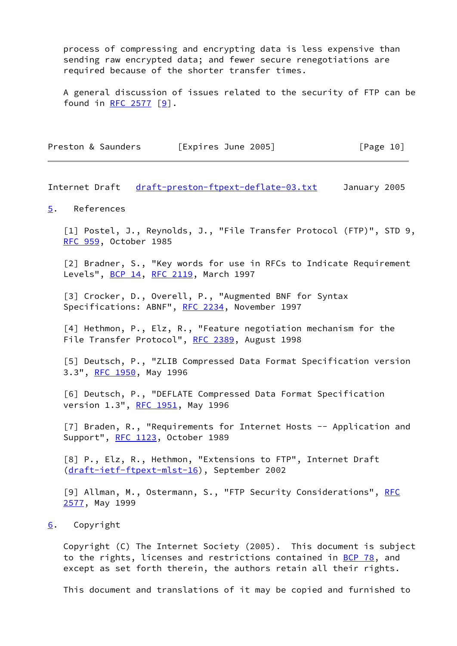process of compressing and encrypting data is less expensive than sending raw encrypted data; and fewer secure renegotiations are required because of the shorter transfer times.

 A general discussion of issues related to the security of FTP can be found in [RFC 2577](https://datatracker.ietf.org/doc/pdf/rfc2577) [[9\]](#page-11-10).

| Preston & Saunders | [Expires June 2005] | [Page 10] |
|--------------------|---------------------|-----------|
|--------------------|---------------------|-----------|

<span id="page-11-1"></span>Internet Draft [draft-preston-ftpext-deflate-03.txt](https://datatracker.ietf.org/doc/pdf/draft-preston-ftpext-deflate-03.txt) January 2005

#### <span id="page-11-0"></span>[5](#page-11-0). References

<span id="page-11-3"></span> [1] Postel, J., Reynolds, J., "File Transfer Protocol (FTP)", STD 9, [RFC 959](https://datatracker.ietf.org/doc/pdf/rfc959), October 1985

<span id="page-11-4"></span>[2] Bradner, S., "Key words for use in RFCs to Indicate Requirement Levels", [BCP 14](https://datatracker.ietf.org/doc/pdf/bcp14), [RFC 2119](https://datatracker.ietf.org/doc/pdf/rfc2119), March 1997

<span id="page-11-5"></span>[3] Crocker, D., Overell, P., "Augmented BNF for Syntax Specifications: ABNF", [RFC 2234,](https://datatracker.ietf.org/doc/pdf/rfc2234) November 1997

<span id="page-11-7"></span> [4] Hethmon, P., Elz, R., "Feature negotiation mechanism for the File Transfer Protocol", [RFC 2389](https://datatracker.ietf.org/doc/pdf/rfc2389), August 1998

<span id="page-11-6"></span> [5] Deutsch, P., "ZLIB Compressed Data Format Specification version 3.3", [RFC 1950](https://datatracker.ietf.org/doc/pdf/rfc1950), May 1996

 [6] Deutsch, P., "DEFLATE Compressed Data Format Specification version 1.3", [RFC 1951](https://datatracker.ietf.org/doc/pdf/rfc1951), May 1996

<span id="page-11-8"></span>[7] Braden, R., "Requirements for Internet Hosts -- Application and Support", [RFC 1123](https://datatracker.ietf.org/doc/pdf/rfc1123), October 1989

<span id="page-11-9"></span> [8] P., Elz, R., Hethmon, "Extensions to FTP", Internet Draft [\(draft-ietf-ftpext-mlst-16](https://datatracker.ietf.org/doc/pdf/draft-ietf-ftpext-mlst-16)), September 2002

<span id="page-11-10"></span>[9] Allman, M., Ostermann, S., "FTP Security Considerations", [RFC](https://datatracker.ietf.org/doc/pdf/rfc2577) [2577](https://datatracker.ietf.org/doc/pdf/rfc2577), May 1999

#### <span id="page-11-2"></span>[6](#page-11-2). Copyright

 Copyright (C) The Internet Society (2005). This document is subject to the rights, licenses and restrictions contained in [BCP 78](https://datatracker.ietf.org/doc/pdf/bcp78), and except as set forth therein, the authors retain all their rights.

This document and translations of it may be copied and furnished to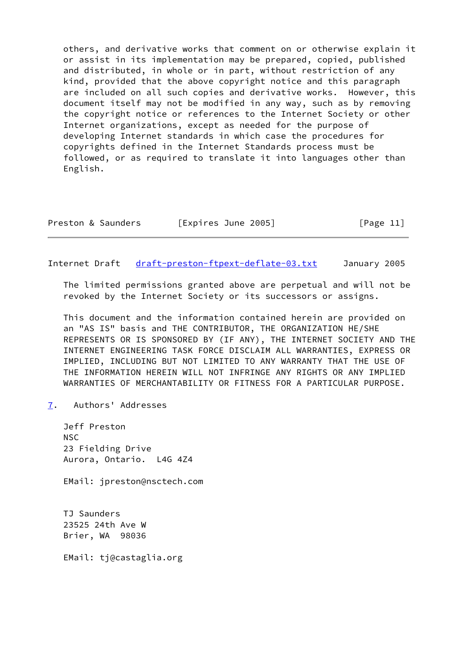others, and derivative works that comment on or otherwise explain it or assist in its implementation may be prepared, copied, published and distributed, in whole or in part, without restriction of any kind, provided that the above copyright notice and this paragraph are included on all such copies and derivative works. However, this document itself may not be modified in any way, such as by removing the copyright notice or references to the Internet Society or other Internet organizations, except as needed for the purpose of developing Internet standards in which case the procedures for copyrights defined in the Internet Standards process must be followed, or as required to translate it into languages other than English.

| Preston & Saunders | [Expires June 2005] | [Page 11] |
|--------------------|---------------------|-----------|
|--------------------|---------------------|-----------|

<span id="page-12-1"></span>Internet Draft [draft-preston-ftpext-deflate-03.txt](https://datatracker.ietf.org/doc/pdf/draft-preston-ftpext-deflate-03.txt) January 2005

 The limited permissions granted above are perpetual and will not be revoked by the Internet Society or its successors or assigns.

 This document and the information contained herein are provided on an "AS IS" basis and THE CONTRIBUTOR, THE ORGANIZATION HE/SHE REPRESENTS OR IS SPONSORED BY (IF ANY), THE INTERNET SOCIETY AND THE INTERNET ENGINEERING TASK FORCE DISCLAIM ALL WARRANTIES, EXPRESS OR IMPLIED, INCLUDING BUT NOT LIMITED TO ANY WARRANTY THAT THE USE OF THE INFORMATION HEREIN WILL NOT INFRINGE ANY RIGHTS OR ANY IMPLIED WARRANTIES OF MERCHANTABILITY OR FITNESS FOR A PARTICULAR PURPOSE.

<span id="page-12-0"></span>[7](#page-12-0). Authors' Addresses

 Jeff Preston NSC 23 Fielding Drive Aurora, Ontario. L4G 4Z4

EMail: jpreston@nsctech.com

 TJ Saunders 23525 24th Ave W Brier, WA 98036

EMail: tj@castaglia.org